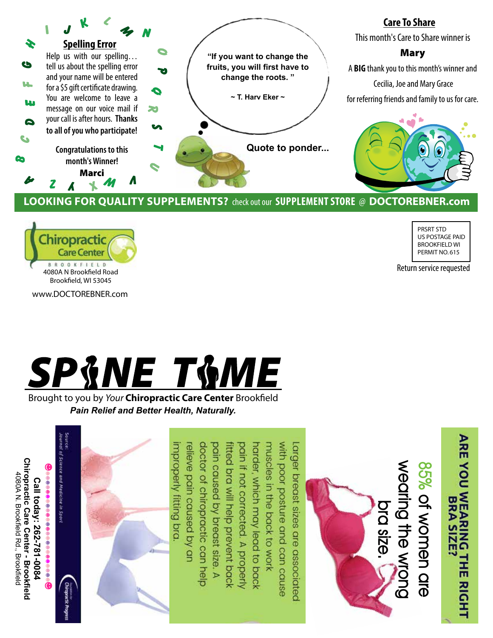

## **Looking for quality Supplements?** check out our **Supplement Store** @ **DOCTOREBNER.com**



PRSRT STD US POSTAGE PAID BROOKFIELD WI PERMIT NO. 615

**ARE YOU WEARING** 

THE RIGHT

**BRA S** 

Return service requested

www.DOCTOREBNER.com



Brought to you by *Your* Chiropractic Care Center Brookfield *Pain Relief and Better Health, Naturally.*

improperly fitting bra with poor posture and can cause Larger breast sizes are associated relieve pain caused by an doctor of chiropractic can help pain caused by breast size. muscles in the back to work tted bra will help prevent back odin if not corrected. A properly arder, which may lead to back of Science and Medicine in Sport **Chiropractic Care Center - Brookfield Chiropractic Care Center - Brookfield** wearing the wrong **wearing the wrong**  85% of women are **85% of women are**  4080A N. Brookfield Rd., Brookfield 4080A N. Brookfield Rd., Brookfield Call today: 262-781-0084 **Call today: 262-781-0084 bra size.** Þ